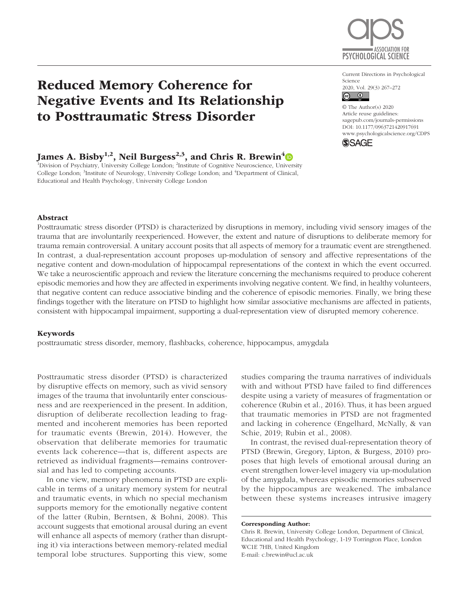

Reduced Memory Coherence for Negative Events and Its Relationship to Posttraumatic Stress Disorder

# James A. Bisby<sup>1,2</sup>, Neil Burgess<sup>2,3</sup>, and Chris R. Brewin<sup>4</sup>

<sup>1</sup>Division of Psychiatry, University College London; <sup>2</sup>Institute of Cognitive Neuroscience, University College London; <sup>3</sup>Institute of Neurology, University College London; and <sup>4</sup>Department of Clinical, Educational and Health Psychology, University College London

Current Directions in Psychological Science 2020, Vol. 29(3) 267–272

 $\boxed{6}$   $\boxed{0}$ 

https://doi.org/10.1177/0963721420917691 DOI: 10.1177/0963721420917691 © The Author(s) 2020 Article reuse guidelines: [sagepub.com/journals-permissions](https://us.sagepub.com/en-us/journals-permissions) [www.psychologicalscience.org/CDPS](http://www.psychologicalscience.org/cdps)

**SSAGE** 

## Abstract

Posttraumatic stress disorder (PTSD) is characterized by disruptions in memory, including vivid sensory images of the trauma that are involuntarily reexperienced. However, the extent and nature of disruptions to deliberate memory for trauma remain controversial. A unitary account posits that all aspects of memory for a traumatic event are strengthened. In contrast, a dual-representation account proposes up-modulation of sensory and affective representations of the negative content and down-modulation of hippocampal representations of the context in which the event occurred. We take a neuroscientific approach and review the literature concerning the mechanisms required to produce coherent episodic memories and how they are affected in experiments involving negative content. We find, in healthy volunteers, that negative content can reduce associative binding and the coherence of episodic memories. Finally, we bring these findings together with the literature on PTSD to highlight how similar associative mechanisms are affected in patients, consistent with hippocampal impairment, supporting a dual-representation view of disrupted memory coherence.

## Keywords

posttraumatic stress disorder, memory, flashbacks, coherence, hippocampus, amygdala

Posttraumatic stress disorder (PTSD) is characterized by disruptive effects on memory, such as vivid sensory images of the trauma that involuntarily enter consciousness and are reexperienced in the present. In addition, disruption of deliberate recollection leading to fragmented and incoherent memories has been reported for traumatic events (Brewin, 2014). However, the observation that deliberate memories for traumatic events lack coherence—that is, different aspects are retrieved as individual fragments—remains controversial and has led to competing accounts.

In one view, memory phenomena in PTSD are explicable in terms of a unitary memory system for neutral and traumatic events, in which no special mechanism supports memory for the emotionally negative content of the latter (Rubin, Berntsen, & Bohni, 2008). This account suggests that emotional arousal during an event will enhance all aspects of memory (rather than disrupting it) via interactions between memory-related medial temporal lobe structures. Supporting this view, some

studies comparing the trauma narratives of individuals with and without PTSD have failed to find differences despite using a variety of measures of fragmentation or coherence (Rubin et al., 2016). Thus, it has been argued that traumatic memories in PTSD are not fragmented and lacking in coherence (Engelhard, McNally, & van Schie, 2019; Rubin et al., 2008).

In contrast, the revised dual-representation theory of PTSD (Brewin, Gregory, Lipton, & Burgess, 2010) proposes that high levels of emotional arousal during an event strengthen lower-level imagery via up-modulation of the amygdala, whereas episodic memories subserved by the hippocampus are weakened. The imbalance between these systems increases intrusive imagery

#### Corresponding Author:

Chris R. Brewin, University College London, Department of Clinical, Educational and Health Psychology, 1-19 Torrington Place, London WC1E 7HB, United Kingdom E-mail: [c.brewin@ucl.ac.uk](mailto:c.brewin@ucl.ac.uk)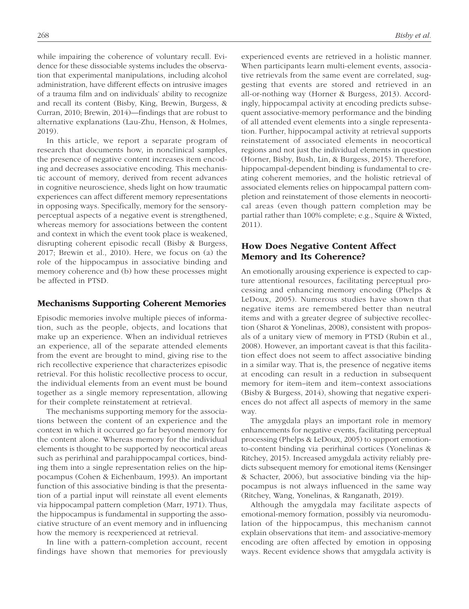while impairing the coherence of voluntary recall. Evidence for these dissociable systems includes the observation that experimental manipulations, including alcohol administration, have different effects on intrusive images of a trauma film and on individuals' ability to recognize and recall its content (Bisby, King, Brewin, Burgess, & Curran, 2010; Brewin, 2014)—findings that are robust to alternative explanations (Lau-Zhu, Henson, & Holmes, 2019).

In this article, we report a separate program of research that documents how, in nonclinical samples, the presence of negative content increases item encoding and decreases associative encoding. This mechanistic account of memory, derived from recent advances in cognitive neuroscience, sheds light on how traumatic experiences can affect different memory representations in opposing ways. Specifically, memory for the sensoryperceptual aspects of a negative event is strengthened, whereas memory for associations between the content and context in which the event took place is weakened, disrupting coherent episodic recall (Bisby & Burgess, 2017; Brewin et al., 2010). Here, we focus on (a) the role of the hippocampus in associative binding and memory coherence and (b) how these processes might be affected in PTSD.

## Mechanisms Supporting Coherent Memories

Episodic memories involve multiple pieces of information, such as the people, objects, and locations that make up an experience. When an individual retrieves an experience, all of the separate attended elements from the event are brought to mind, giving rise to the rich recollective experience that characterizes episodic retrieval. For this holistic recollective process to occur, the individual elements from an event must be bound together as a single memory representation, allowing for their complete reinstatement at retrieval.

The mechanisms supporting memory for the associations between the content of an experience and the context in which it occurred go far beyond memory for the content alone. Whereas memory for the individual elements is thought to be supported by neocortical areas such as perirhinal and parahippocampal cortices, binding them into a single representation relies on the hippocampus (Cohen & Eichenbaum, 1993). An important function of this associative binding is that the presentation of a partial input will reinstate all event elements via hippocampal pattern completion (Marr, 1971). Thus, the hippocampus is fundamental in supporting the associative structure of an event memory and in influencing how the memory is reexperienced at retrieval.

In line with a pattern-completion account, recent findings have shown that memories for previously experienced events are retrieved in a holistic manner. When participants learn multi-element events, associative retrievals from the same event are correlated, suggesting that events are stored and retrieved in an all-or-nothing way (Horner & Burgess, 2013). Accordingly, hippocampal activity at encoding predicts subsequent associative-memory performance and the binding of all attended event elements into a single representation. Further, hippocampal activity at retrieval supports reinstatement of associated elements in neocortical regions and not just the individual elements in question (Horner, Bisby, Bush, Lin, & Burgess, 2015). Therefore, hippocampal-dependent binding is fundamental to creating coherent memories, and the holistic retrieval of associated elements relies on hippocampal pattern completion and reinstatement of those elements in neocortical areas (even though pattern completion may be partial rather than 100% complete; e.g., Squire & Wixted, 2011).

# How Does Negative Content Affect Memory and Its Coherence?

An emotionally arousing experience is expected to capture attentional resources, facilitating perceptual processing and enhancing memory encoding (Phelps & LeDoux, 2005). Numerous studies have shown that negative items are remembered better than neutral items and with a greater degree of subjective recollection (Sharot & Yonelinas, 2008), consistent with proposals of a unitary view of memory in PTSD (Rubin et al., 2008). However, an important caveat is that this facilitation effect does not seem to affect associative binding in a similar way. That is, the presence of negative items at encoding can result in a reduction in subsequent memory for item–item and item–context associations (Bisby & Burgess, 2014), showing that negative experiences do not affect all aspects of memory in the same way.

The amygdala plays an important role in memory enhancements for negative events, facilitating perceptual processing (Phelps & LeDoux, 2005) to support emotionto-content binding via perirhinal cortices (Yonelinas & Ritchey, 2015). Increased amygdala activity reliably predicts subsequent memory for emotional items (Kensinger & Schacter, 2006), but associative binding via the hippocampus is not always influenced in the same way (Ritchey, Wang, Yonelinas, & Ranganath, 2019).

Although the amygdala may facilitate aspects of emotional-memory formation, possibly via neuromodulation of the hippocampus, this mechanism cannot explain observations that item- and associative-memory encoding are often affected by emotion in opposing ways. Recent evidence shows that amygdala activity is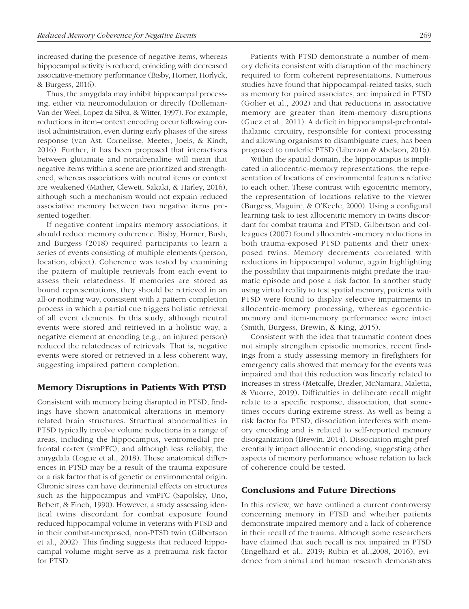increased during the presence of negative items, whereas hippocampal activity is reduced, coinciding with decreased associative-memory performance (Bisby, Horner, Horlyck, & Burgess, 2016).

Thus, the amygdala may inhibit hippocampal processing, either via neuromodulation or directly (Dolleman-Van der Weel, Lopez da Silva, & Witter, 1997). For example, reductions in item–context encoding occur following cortisol administration, even during early phases of the stress response (van Ast, Cornelisse, Meeter, Joels, & Kindt, 2016). Further, it has been proposed that interactions between glutamate and noradrenaline will mean that negative items within a scene are prioritized and strengthened, whereas associations with neutral items or context are weakened (Mather, Clewett, Sakaki, & Harley, 2016), although such a mechanism would not explain reduced associative memory between two negative items presented together.

If negative content impairs memory associations, it should reduce memory coherence. Bisby, Horner, Bush, and Burgess (2018) required participants to learn a series of events consisting of multiple elements (person, location, object). Coherence was tested by examining the pattern of multiple retrievals from each event to assess their relatedness. If memories are stored as bound representations, they should be retrieved in an all-or-nothing way, consistent with a pattern-completion process in which a partial cue triggers holistic retrieval of all event elements. In this study, although neutral events were stored and retrieved in a holistic way, a negative element at encoding (e.g., an injured person) reduced the relatedness of retrievals. That is, negative events were stored or retrieved in a less coherent way, suggesting impaired pattern completion.

# Memory Disruptions in Patients With PTSD

Consistent with memory being disrupted in PTSD, findings have shown anatomical alterations in memoryrelated brain structures. Structural abnormalities in PTSD typically involve volume reductions in a range of areas, including the hippocampus, ventromedial prefrontal cortex (vmPFC), and although less reliably, the amygdala (Logue et al., 2018). These anatomical differences in PTSD may be a result of the trauma exposure or a risk factor that is of genetic or environmental origin. Chronic stress can have detrimental effects on structures such as the hippocampus and vmPFC (Sapolsky, Uno, Rebert, & Finch, 1990). However, a study assessing identical twins discordant for combat exposure found reduced hippocampal volume in veterans with PTSD and in their combat-unexposed, non-PTSD twin (Gilbertson et al., 2002). This finding suggests that reduced hippocampal volume might serve as a pretrauma risk factor for PTSD.

Patients with PTSD demonstrate a number of memory deficits consistent with disruption of the machinery required to form coherent representations. Numerous studies have found that hippocampal-related tasks, such as memory for paired associates, are impaired in PTSD (Golier et al., 2002) and that reductions in associative memory are greater than item-memory disruptions (Guez et al., 2011). A deficit in hippocampal-prefrontalthalamic circuitry, responsible for context processing and allowing organisms to disambiguate cues, has been proposed to underlie PTSD (Liberzon & Abelson, 2016).

Within the spatial domain, the hippocampus is implicated in allocentric-memory representations, the representation of locations of environmental features relative to each other. These contrast with egocentric memory, the representation of locations relative to the viewer (Burgess, Maguire, & O'Keefe, 2000). Using a configural learning task to test allocentric memory in twins discordant for combat trauma and PTSD, Gilbertson and colleagues (2007) found allocentric-memory reductions in both trauma-exposed PTSD patients and their unexposed twins. Memory decrements correlated with reductions in hippocampal volume, again highlighting the possibility that impairments might predate the traumatic episode and pose a risk factor. In another study using virtual reality to test spatial memory, patients with PTSD were found to display selective impairments in allocentric-memory processing, whereas egocentricmemory and item-memory performance were intact (Smith, Burgess, Brewin, & King, 2015).

Consistent with the idea that traumatic content does not simply strengthen episodic memories, recent findings from a study assessing memory in firefighters for emergency calls showed that memory for the events was impaired and that this reduction was linearly related to increases in stress (Metcalfe, Brezler, McNamara, Maletta, & Vuorre, 2019). Difficulties in deliberate recall might relate to a specific response, dissociation, that sometimes occurs during extreme stress. As well as being a risk factor for PTSD, dissociation interferes with memory encoding and is related to self-reported memory disorganization (Brewin, 2014). Dissociation might preferentially impact allocentric encoding, suggesting other aspects of memory performance whose relation to lack of coherence could be tested.

# Conclusions and Future Directions

In this review, we have outlined a current controversy concerning memory in PTSD and whether patients demonstrate impaired memory and a lack of coherence in their recall of the trauma. Although some researchers have claimed that such recall is not impaired in PTSD (Engelhard et al., 2019; Rubin et al.,2008, 2016), evidence from animal and human research demonstrates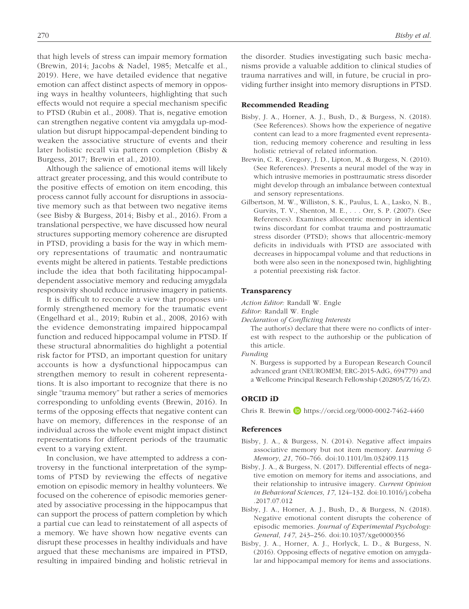that high levels of stress can impair memory formation (Brewin, 2014; Jacobs & Nadel, 1985; Metcalfe et al., 2019). Here, we have detailed evidence that negative emotion can affect distinct aspects of memory in opposing ways in healthy volunteers, highlighting that such effects would not require a special mechanism specific to PTSD (Rubin et al., 2008). That is, negative emotion can strengthen negative content via amygdala up-modulation but disrupt hippocampal-dependent binding to weaken the associative structure of events and their later holistic recall via pattern completion (Bisby & Burgess, 2017; Brewin et al., 2010).

Although the salience of emotional items will likely attract greater processing, and this would contribute to the positive effects of emotion on item encoding, this process cannot fully account for disruptions in associative memory such as that between two negative items (see Bisby & Burgess, 2014; Bisby et al., 2016). From a translational perspective, we have discussed how neural structures supporting memory coherence are disrupted in PTSD, providing a basis for the way in which memory representations of traumatic and nontraumatic events might be altered in patients. Testable predictions include the idea that both facilitating hippocampaldependent associative memory and reducing amygdala responsivity should reduce intrusive imagery in patients.

It is difficult to reconcile a view that proposes uniformly strengthened memory for the traumatic event (Engelhard et al., 2019; Rubin et al., 2008, 2016) with the evidence demonstrating impaired hippocampal function and reduced hippocampal volume in PTSD. If these structural abnormalities do highlight a potential risk factor for PTSD, an important question for unitary accounts is how a dysfunctional hippocampus can strengthen memory to result in coherent representations. It is also important to recognize that there is no single "trauma memory" but rather a series of memories corresponding to unfolding events (Brewin, 2016). In terms of the opposing effects that negative content can have on memory, differences in the response of an individual across the whole event might impact distinct representations for different periods of the traumatic event to a varying extent.

In conclusion, we have attempted to address a controversy in the functional interpretation of the symptoms of PTSD by reviewing the effects of negative emotion on episodic memory in healthy volunteers. We focused on the coherence of episodic memories generated by associative processing in the hippocampus that can support the process of pattern completion by which a partial cue can lead to reinstatement of all aspects of a memory. We have shown how negative events can disrupt these processes in healthy individuals and have argued that these mechanisms are impaired in PTSD, resulting in impaired binding and holistic retrieval in the disorder. Studies investigating such basic mechanisms provide a valuable addition to clinical studies of trauma narratives and will, in future, be crucial in providing further insight into memory disruptions in PTSD.

#### Recommended Reading

- Bisby, J. A., Horner, A. J., Bush, D., & Burgess, N. (2018). (See References). Shows how the experience of negative content can lead to a more fragmented event representation, reducing memory coherence and resulting in less holistic retrieval of related information.
- Brewin, C. R., Gregory, J. D., Lipton, M., & Burgess, N. (2010). (See References). Presents a neural model of the way in which intrusive memories in posttraumatic stress disorder might develop through an imbalance between contextual and sensory representations.
- Gilbertson, M. W., Williston, S. K., Paulus, L. A., Lasko, N. B., Gurvits, T. V., Shenton, M. E., . . . Orr, S. P. (2007). (See References). Examines allocentric memory in identical twins discordant for combat trauma and posttraumatic stress disorder (PTSD); shows that allocentric-memory deficits in individuals with PTSD are associated with decreases in hippocampal volume and that reductions in both were also seen in the nonexposed twin, highlighting a potential preexisting risk factor.

#### Transparency

*Action Editor:* Randall W. Engle

*Editor:* Randall W. Engle

*Declaration of Conflicting Interests*

The author(s) declare that there were no conflicts of interest with respect to the authorship or the publication of this article.

*Funding*

N. Burgess is supported by a European Research Council advanced grant (NEUROMEM; ERC-2015-AdG, 694779) and a Wellcome Principal Research Fellowship (202805/Z/16/Z).

#### ORCID iD

Chris R. Brewin D <https://orcid.org/0000-0002-7462-4460>

## References

- Bisby, J. A., & Burgess, N. (2014). Negative affect impairs associative memory but not item memory. *Learning & Memory*, *21*, 760–766. doi:10.1101/lm.032409.113
- Bisby, J. A., & Burgess, N. (2017). Differential effects of negative emotion on memory for items and associations, and their relationship to intrusive imagery. *Current Opinion in Behavioral Sciences*, *17*, 124–132. doi:10.1016/j.cobeha .2017.07.012
- Bisby, J. A., Horner, A. J., Bush, D., & Burgess, N. (2018). Negative emotional content disrupts the coherence of episodic memories. *Journal of Experimental Psychology: General*, *147*, 243–256. doi:10.1037/xge0000356
- Bisby, J. A., Horner, A. J., Horlyck, L. D., & Burgess, N. (2016). Opposing effects of negative emotion on amygdalar and hippocampal memory for items and associations.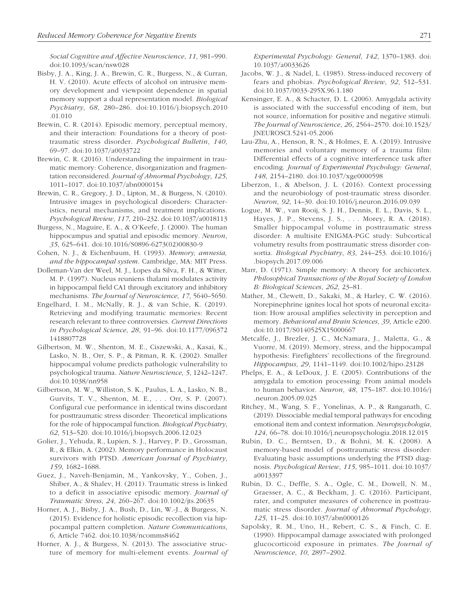*Social Cognitive and Affective Neuroscience*, *11*, 981–990. doi:10.1093/scan/nsw028

- Bisby, J. A., King, J. A., Brewin, C. R., Burgess, N., & Curran, H. V. (2010). Acute effects of alcohol on intrusive memory development and viewpoint dependence in spatial memory support a dual representation model. *Biological Psychiatry*, *68*, 280–286. doi:10.1016/j.biopsych.2010 .01.010
- Brewin, C. R. (2014). Episodic memory, perceptual memory, and their interaction: Foundations for a theory of posttraumatic stress disorder. *Psychological Bulletin*, *140*, 69–97. doi:10.1037/a0033722
- Brewin, C. R. (2016). Understanding the impairment in traumatic memory: Coherence, disorganization and fragmentation reconsidered. *Journal of Abnormal Psychology*, *125*, 1011–1017. doi:10.1037/abn0000154
- Brewin, C. R., Gregory, J. D., Lipton, M., & Burgess, N. (2010). Intrusive images in psychological disorders: Characteristics, neural mechanisms, and treatment implications. *Psychological Review*, *117*, 210–232. doi:10.1037/a0018113
- Burgess, N., Maguire, E. A., & O'Keefe, J. (2000). The human hippocampus and spatial and episodic memory. *Neuron*, *35*, 625–641. doi:10.1016/S0896-6273(02)00830-9
- Cohen, N. J., & Eichenbaum, H. (1993). *Memory, amnesia, and the hippocampal system*. Cambridge, MA: MIT Press.
- Dolleman-Van der Weel, M. J., Lopes da Silva, F. H., & Witter, M. P. (1997). Nucleus reuniens thalami modulates activity in hippocampal field CA1 through excitatory and inhibitory mechanisms. *The Journal of Neuroscience*, *17*, 5640–5650.
- Engelhard, I. M., McNally, R. J., & van Schie, K. (2019). Retrieving and modifying traumatic memories: Recent research relevant to three controversies. *Current Directions in Psychological Science*, *28*, 91–96. doi:10.1177/096372 1418807728
- Gilbertson, M. W., Shenton, M. E., Ciszewski, A., Kasai, K., Lasko, N. B., Orr, S. P., & Pitman, R. K. (2002). Smaller hippocampal volume predicts pathologic vulnerability to psychological trauma. *Nature Neuroscience*, *5*, 1242–1247. doi:10.1038/nn958
- Gilbertson, M. W., Williston, S. K., Paulus, L. A., Lasko, N. B., Gurvits, T. V., Shenton, M. E., . . . Orr, S. P. (2007). Configural cue performance in identical twins discordant for posttraumatic stress disorder: Theoretical implications for the role of hippocampal function. *Biological Psychiatry*, *62*, 513–520. doi:10.1016/j.biopsych.2006.12.023
- Golier, J., Yehuda, R., Lupien, S. J., Harvey, P. D., Grossman, R., & Elkin, A. (2002). Memory performance in Holocaust survivors with PTSD. *American Journal of Psychiatry*, *159*, 1682–1688.
- Guez, J., Naveh-Benjamin, M., Yankovsky, Y., Cohen, J., Shiber, A., & Shalev, H. (2011). Traumatic stress is linked to a deficit in associative episodic memory. *Journal of Traumatic Stress*, *24*, 260–267. doi:10.1002/jts.20635
- Horner, A. J., Bisby, J. A., Bush, D., Lin, W.-J., & Burgess, N. (2015). Evidence for holistic episodic recollection via hippocampal pattern completion. *Nature Communications*, *6*, Article 7462. doi:10.1038/ncomms8462
- Horner, A. J., & Burgess, N. (2013). The associative structure of memory for multi-element events. *Journal of*

*Experimental Psychology: General*, *142*, 1370–1383. doi: 10.1037/a0033626

- Jacobs, W. J., & Nadel, L. (1985). Stress-induced recovery of fears and phobias. *Psychological Review*, *92*, 512–531. doi:10.1037/0033-295X.96.1.180
- Kensinger, E. A., & Schacter, D. L. (2006). Amygdala activity is associated with the successful encoding of item, but not source, information for positive and negative stimuli. *The Journal of Neuroscience*, *26*, 2564–2570. doi:10.1523/ JNEUROSCI.5241-05.2006
- Lau-Zhu, A., Henson, R. N., & Holmes, E. A. (2019). Intrusive memories and voluntary memory of a trauma film: Differential effects of a cognitive interference task after encoding. *Journal of Experimental Psychology: General*, *148*, 2154–2180. doi:10.1037/xge0000598
- Liberzon, I., & Abelson, J. L. (2016). Context processing and the neurobiology of post-traumatic stress disorder. *Neuron*, *92*, 14–30. doi:10.1016/j.neuron.2016.09.039
- Logue, M. W., van Rooij, S. J. H., Dennis, E. L., Davis, S. L., Hayes, J. P., Stevens, J. S., . . . Morey, R. A. (2018). Smaller hippocampal volume in posttraumatic stress disorder: A multisite ENIGMA-PGC study: Subcortical volumetry results from posttraumatic stress disorder consortia. *Biological Psychiatry*, *83*, 244–253. doi:10.1016/j .biopsych.2017.09.006
- Marr, D. (1971). Simple memory: A theory for archicortex. *Philosophical Transactions of the Royal Society of London B: Biological Sciences*, *262*, 23–81.
- Mather, M., Clewett, D., Sakaki, M., & Harley, C. W. (2016). Norepinephrine ignites local hot spots of neuronal excitation: How arousal amplifies selectivity in perception and memory. *Behavioral and Brain Sciences*, *39*, Article e200. doi:10.1017/S0140525X15000667
- Metcalfe, J., Brezler, J. C., McNamara, J., Maletta, G., & Vuorre, M. (2019). Memory, stress, and the hippocampal hypothesis: Firefighters' recollections of the fireground. *Hippocampus*, *29*, 1141–1149. doi:10.1002/hipo.23128
- Phelps, E. A., & LeDoux, J. E. (2005). Contributions of the amygdala to emotion processing: From animal models to human behavior. *Neuron*, *48*, 175–187. doi:10.1016/j .neuron.2005.09.025
- Ritchey, M., Wang, S. F., Yonelinas, A. P., & Ranganath, C. (2019). Dissociable medial temporal pathways for encoding emotional item and context information. *Neuropsychologia*, *124*, 66–78. doi:10.1016/j.neuropsychologia.2018.12.015
- Rubin, D. C., Berntsen, D., & Bohni, M. K. (2008). A memory-based model of posttraumatic stress disorder: Evaluating basic assumptions underlying the PTSD diagnosis. *Psychological Review*, *115*, 985–1011. doi:10.1037/ a0013397
- Rubin, D. C., Deffle, S. A., Ogle, C. M., Dowell, N. M., Graesser, A. C., & Beckham, J. C. (2016). Participant, rater, and computer measures of coherence in posttraumatic stress disorder. *Journal of Abnormal Psychology*, *125*, 11–25. doi:10.1037/abn0000126
- Sapolsky, R. M., Uno, H., Rebert, C. S., & Finch, C. E. (1990). Hippocampal damage associated with prolonged glucocorticoid exposure in primates. *The Journal of Neuroscience*, *10*, 2897–2902.